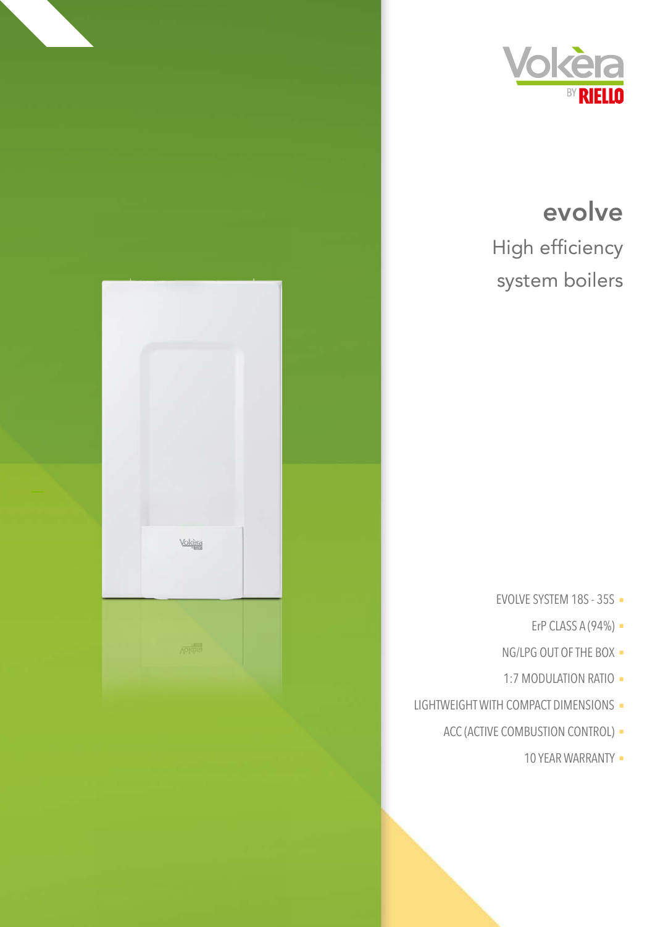

system boilers

- EVOLVE SYSTEM 18S 35S -
	- ErP CLASS A  $(94\%)$  -
- NG/LPG OUT OF THE BOX -
- 1:7 MODULATION RATIO -
- LIGHTWEIGHT WITH COMPACT DIMENSIONS -
	- ACC (ACTIVE COMBUSTION CONTROL) -
		- 10 YEAR WARRANTY -